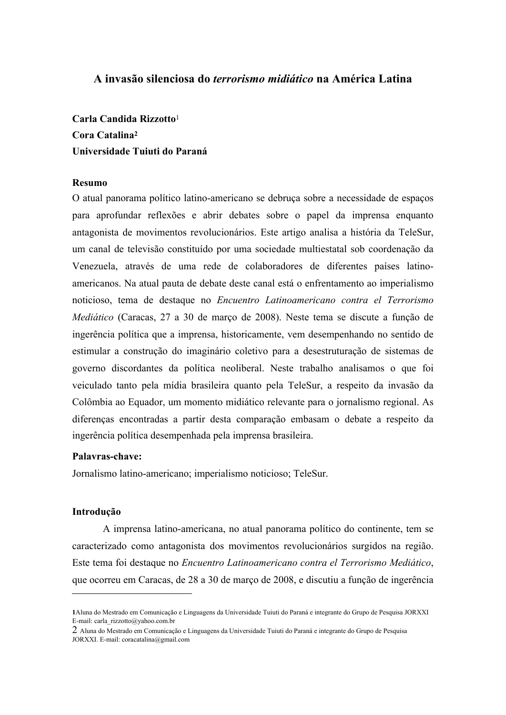# A invasão silenciosa do *terrorismo midiático* na América Latina

Carla Candida Rizzotto<sup>1</sup> Cora Catalina<sup>2</sup> Universidade Tuiuti do Paraná

# Resumo

O atual panorama político latino-americano se debruça sobre a necessidade de espaços para aprofundar reflexões e abrir debates sobre o papel da imprensa enquanto antagonista de movimentos revolucionários. Este artigo analisa a história da TeleSur, um canal de televisão constituído por uma sociedade multiestatal sob coordenação da Venezuela, através de uma rede de colaboradores de diferentes países latinoamericanos. Na atual pauta de debate deste canal está o enfrentamento ao imperialismo noticioso, tema de destaque no Encuentro Latinoamericano contra el Terrorismo *Mediático* (Caracas, 27 a 30 de março de 2008). Neste tema se discute a função de ingerência política que a imprensa, historicamente, vem desempenhando no sentido de estimular a construção do imaginário coletivo para a desestruturação de sistemas de governo discordantes da política neoliberal. Neste trabalho analisamos o que foi veiculado tanto pela mídia brasileira quanto pela TeleSur, a respeito da invasão da Colômbia ao Equador, um momento midiático relevante para o jornalismo regional. As diferencas encontradas a partir desta comparação embasam o debate a respeito da ingerência política desempenhada pela imprensa brasileira.

#### Palavras-chave:

Jornalismo latino-americano; imperialismo noticioso; TeleSur.

# Introducão

A imprensa latino-americana, no atual panorama político do continente, tem se caracterizado como antagonista dos movimentos revolucionários surgidos na região. Este tema foi destaque no Encuentro Latinoamericano contra el Terrorismo Mediático, que ocorreu em Caracas, de 28 a 30 de março de 2008, e discutiu a função de ingerência

<sup>1</sup> Aluna do Mestrado em Comunicação e Linguagens da Universidade Tuiuti do Paraná e integrante do Grupo de Pesquisa JORXXI E-mail: carla\_rizzotto@yahoo.com.br

 $2$  Aluna do Mestrado em Comunicação e Linguagens da Universidade Tuiuti do Paraná e integrante do Grupo de Pesquisa JORXXI. E-mail: coracatalina@gmail.com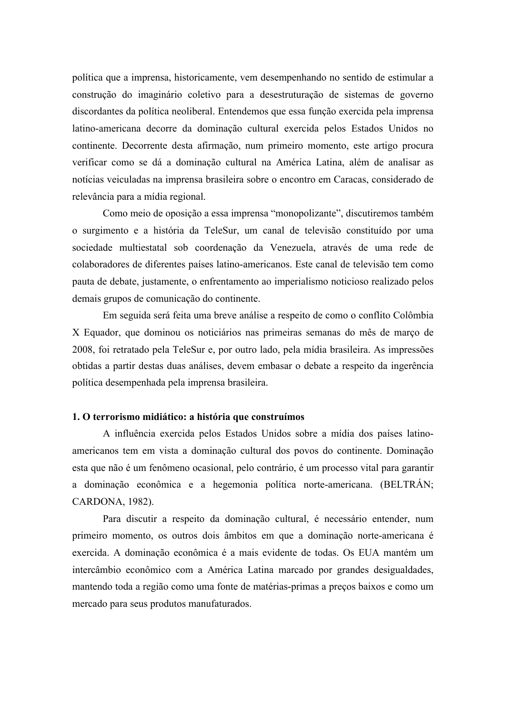política que a imprensa, historicamente, vem desempenhando no sentido de estimular a construção do imaginário coletivo para a desestruturação de sistemas de governo discordantes da política neoliberal. Entendemos que essa função exercida pela imprensa latino-americana decorre da dominação cultural exercida pelos Estados Unidos no continente. Decorrente desta afirmação, num primeiro momento, este artigo procura verificar como se dá a dominação cultural na América Latina, além de analisar as notícias veiculadas na imprensa brasileira sobre o encontro em Caracas, considerado de relevância para a mídia regional.

Como meio de oposição a essa imprensa "monopolizante", discutiremos também o surgimento e a história da TeleSur, um canal de televisão constituído por uma sociedade multiestatal sob coordenação da Venezuela, através de uma rede de colaboradores de diferentes países latino-americanos. Este canal de televisão tem como pauta de debate, justamente, o enfrentamento ao imperialismo noticioso realizado pelos demais grupos de comunicação do continente.

Em seguida será feita uma breve análise a respeito de como o conflito Colômbia X Equador, que dominou os noticiários nas primeiras semanas do mês de março de 2008, foi retratado pela TeleSur e, por outro lado, pela mídia brasileira. As impressões obtidas a partir destas duas análises, devem embasar o debate a respeito da ingerência política desempenhada pela imprensa brasileira.

#### 1. O terrorismo midiático: a história que construímos

A influência exercida pelos Estados Unidos sobre a mídia dos países latinoamericanos tem em vista a dominação cultural dos povos do continente. Dominação esta que não é um fenômeno ocasional, pelo contrário, é um processo vital para garantir a dominação econômica e a hegemonia política norte-americana. (BELTRÁN; CARDONA, 1982).

Para discutir a respeito da dominação cultural, é necessário entender, num primeiro momento, os outros dois âmbitos em que a dominação norte-americana é exercida. A dominação econômica é a mais evidente de todas. Os EUA mantém um intercâmbio econômico com a América Latina marcado por grandes desigualdades, mantendo toda a região como uma fonte de matérias-primas a preços baixos e como um mercado para seus produtos manufaturados.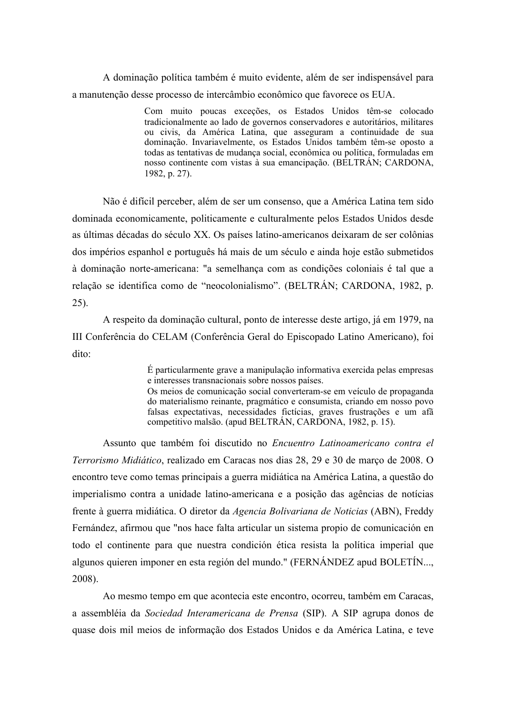A dominação política também é muito evidente, além de ser indispensável para a manutenção desse processo de intercâmbio econômico que favorece os EUA.

> Com muito poucas exceções, os Estados Unidos têm-se colocado tradicionalmente ao lado de governos conservadores e autoritários, militares ou civis, da América Latina, que asseguram a continuidade de sua dominação. Invariavelmente, os Estados Unidos também têm-se oposto a todas as tentativas de mudança social, econômica ou política, formuladas em nosso continente com vistas à sua emancipação. (BELTRÁN: CARDONA, 1982, p.  $27$ ).

Não é difícil perceber, além de ser um consenso, que a América Latina tem sido dominada economicamente, politicamente e culturalmente pelos Estados Unidos desde as últimas décadas do século XX. Os países latino-americanos deixaram de ser colônias dos impérios espanhol e português há mais de um século e ainda hoje estão submetidos à dominação norte-americana: "a semelhança com as condições coloniais é tal que a relação se identifica como de "neocolonialismo". (BELTRÁN; CARDONA, 1982, p.  $25$ ).

A respeito da dominação cultural, ponto de interesse deste artigo, já em 1979, na III Conferência do CELAM (Conferência Geral do Episcopado Latino Americano), foi dito:

> É particularmente grave a manipulação informativa exercida pelas empresas e interesses transnacionais sobre nossos países.

> Os meios de comunicação social converteram-se em veículo de propaganda do materialismo reinante, pragmático e consumista, criando em nosso povo falsas expectativas, necessidades fictícias, graves frustrações e um afã competitivo malsão. (apud BELTRÁN, CARDONA, 1982, p. 15).

Assunto que também foi discutido no Encuentro Latinoamericano contra el Terrorismo Midiático, realizado em Caracas nos dias 28, 29 e 30 de março de 2008. O encontro teve como temas principais a guerra midiática na América Latina, a questão do imperialismo contra a unidade latino-americana e a posição das agências de notícias frente à guerra midiática. O diretor da Agencia Bolivariana de Noticias (ABN), Freddy Fernández, afirmou que "nos hace falta articular un sistema propio de comunicación en todo el continente para que nuestra condición ética resista la política imperial que algunos quieren imponer en esta región del mundo." (FERNÁNDEZ apud BOLETÍN...,  $2008$ ).

Ao mesmo tempo em que acontecia este encontro, ocorreu, também em Caracas, a assembléia da Sociedad Interamericana de Prensa (SIP). A SIP agrupa donos de quase dois mil meios de informação dos Estados Unidos e da América Latina, e teve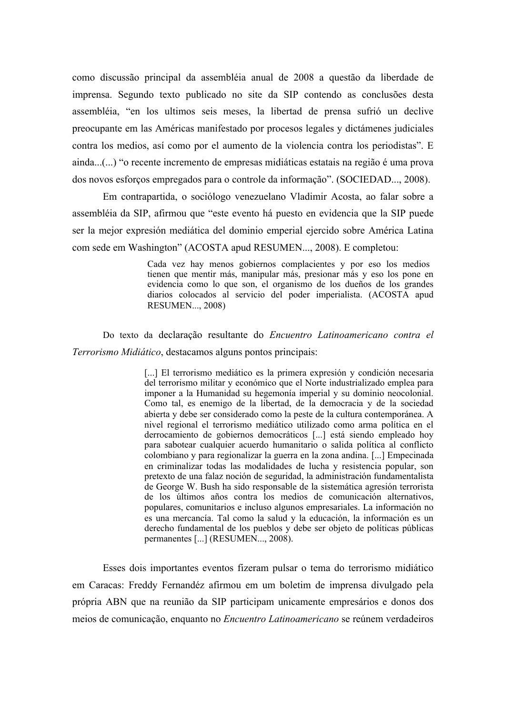como discussão principal da assembléia anual de 2008 a questão da liberdade de imprensa. Segundo texto publicado no site da SIP contendo as conclusões desta assembléia, "en los ultimos seis meses, la libertad de prensa sufrió un declive preocupante em las Américas manifestado por procesos legales y dictámenes judiciales contra los medios, así como por el aumento de la violencia contra los periodistas". E ainda...(...) "o recente incremento de empresas midiáticas estatais na região é uma prova dos novos esforços empregados para o controle da informação". (SOCIEDAD..., 2008).

Em contrapartida, o sociólogo venezuelano Vladimir Acosta, ao falar sobre a assembléia da SIP, afirmou que "este evento há puesto en evidencia que la SIP puede ser la mejor expresión mediática del dominio emperial ejercido sobre América Latina com sede em Washington" (ACOSTA apud RESUMEN..., 2008). E completou:

> Cada vez hay menos gobiernos complacientes y por eso los medios tienen que mentir más, manipular más, presionar más y eso los pone en evidencia como lo que son, el organismo de los dueños de los grandes diarios colocados al servicio del poder imperialista. (ACOSTA apud **RESUMEN..., 2008)**

Do texto da declaração resultante do Encuentro Latinoamericano contra el Terrorismo Midiático, destacamos alguns pontos principais:

> [...] El terrorismo mediático es la primera expresión y condición necesaria del terrorismo militar y económico que el Norte industrializado emplea para imponer a la Humanidad su hegemonía imperial y su dominio neocolonial. Como tal, es enemigo de la libertad, de la democracia y de la sociedad abierta y debe ser considerado como la peste de la cultura contemporánea. A nivel regional el terrorismo mediático utilizado como arma política en el derrocamiento de gobiernos democráticos [...] está siendo empleado hoy para sabotear cualquier acuerdo humanitario o salida política al conflicto colombiano y para regionalizar la guerra en la zona andina. [...] Empecinada en criminalizar todas las modalidades de lucha y resistencia popular, son pretexto de una falaz noción de seguridad, la administración fundamentalista de George W. Bush ha sido responsable de la sistemática agresión terrorista de los últimos años contra los medios de comunicación alternativos, populares, comunitarios e incluso algunos empresariales. La información no es una mercancía. Tal como la salud y la educación, la información es un derecho fundamental de los pueblos y debe ser objeto de políticas públicas permanentes [...] (RESUMEN..., 2008).

Esses dois importantes eventos fizeram pulsar o tema do terrorismo midiático em Caracas: Freddy Fernandéz afirmou em um boletim de imprensa divulgado pela própria ABN que na reunião da SIP participam unicamente empresários e donos dos meios de comunicação, enquanto no *Encuentro Latinoamericano* se reúnem verdadeiros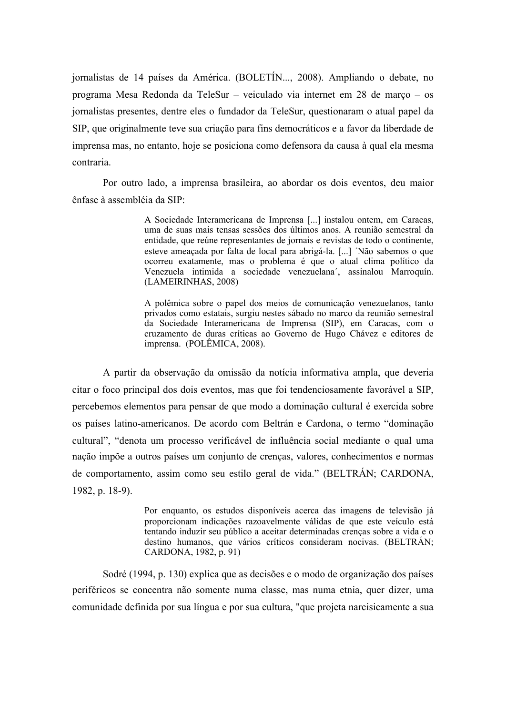jornalistas de 14 países da América. (BOLETÍN..., 2008). Ampliando o debate, no programa Mesa Redonda da TeleSur - veiculado via internet em 28 de março - os jornalistas presentes, dentre eles o fundador da TeleSur, questionaram o atual papel da SIP, que originalmente teve sua criação para fins democráticos e a favor da liberdade de imprensa mas, no entanto, hoje se posiciona como defensora da causa à qual ela mesma contraria.

Por outro lado, a imprensa brasileira, ao abordar os dois eventos, deu maior ênfase à assembléia da SIP:

> A Sociedade Interamericana de Imprensa [...] instalou ontem, em Caracas, uma de suas mais tensas sessões dos últimos anos. A reunião semestral da entidade, que reúne representantes de jornais e revistas de todo o continente, esteve ameaçada por falta de local para abrigá-la. [...] 'Não sabemos o que ocorreu exatamente, mas o problema é que o atual clima político da Venezuela intimida a sociedade venezuelana', assinalou Marroquín. (LAMEIRINHAS, 2008)

> A polêmica sobre o papel dos meios de comunicação venezuelanos, tanto privados como estatais, surgiu nestes sábado no marco da reunião semestral da Sociedade Interamericana de Imprensa (SIP), em Caracas, com o cruzamento de duras críticas ao Governo de Hugo Chávez e editores de imprensa. (POLÊMICA, 2008).

A partir da observação da omissão da notícia informativa ampla, que deveria citar o foco principal dos dois eventos, mas que foi tendenciosamente favorável a SIP, percebemos elementos para pensar de que modo a dominação cultural é exercida sobre os países latino-americanos. De acordo com Beltrán e Cardona, o termo "dominação cultural", "denota um processo verificável de influência social mediante o qual uma nação impõe a outros países um conjunto de crenças, valores, conhecimentos e normas de comportamento, assim como seu estilo geral de vida." (BELTRÁN; CARDONA, 1982, p. 18-9).

> Por enquanto, os estudos disponíveis acerca das imagens de televisão já proporcionam indicações razoavelmente válidas de que este veículo está tentando induzir seu público a aceitar determinadas crencas sobre a vida e o destino humanos, que vários críticos consideram nocivas. (BELTRÁN; CARDONA, 1982, p. 91)

Sodré (1994, p. 130) explica que as decisões e o modo de organização dos países periféricos se concentra não somente numa classe, mas numa etnia, quer dizer, uma comunidade definida por sua língua e por sua cultura, "que projeta narcisicamente a sua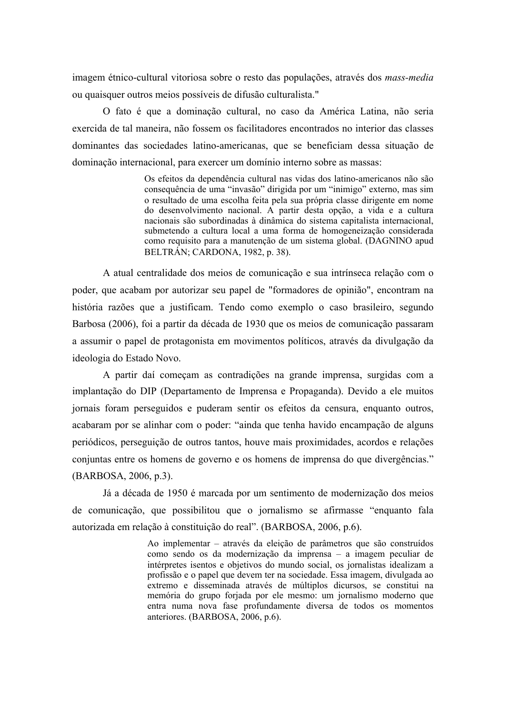imagem étnico-cultural vitoriosa sobre o resto das populações, através dos mass-media ou quaisquer outros meios possíveis de difusão culturalista."

O fato é que a dominação cultural, no caso da América Latina, não seria exercida de tal maneira, não fossem os facilitadores encontrados no interior das classes dominantes das sociedades latino-americanas, que se beneficiam dessa situação de dominação internacional, para exercer um domínio interno sobre as massas:

> Os efeitos da dependência cultural nas vidas dos latino-americanos não são consequência de uma "invasão" dirigida por um "inimigo" externo, mas sim o resultado de uma escolha feita pela sua própria classe dirigente em nome do desenvolvimento nacional. A partir desta opção, a vida e a cultura nacionais são subordinadas à dinâmica do sistema capitalista internacional, submetendo a cultura local a uma forma de homogeneização considerada como requisito para a manutenção de um sistema global. (DAGNINO apud BELTRÁN; CARDONA, 1982, p. 38).

A atual centralidade dos meios de comunicação e sua intrínseca relação com o poder, que acabam por autorizar seu papel de "formadores de opinião", encontram na história razões que a justificam. Tendo como exemplo o caso brasileiro, segundo Barbosa (2006), foi a partir da década de 1930 que os meios de comunicação passaram a assumir o papel de protagonista em movimentos políticos, através da divulgação da ideologia do Estado Novo.

A partir daí começam as contradições na grande imprensa, surgidas com a implantação do DIP (Departamento de Imprensa e Propaganda). Devido a ele muitos jornais foram perseguidos e puderam sentir os efeitos da censura, enquanto outros, acabaram por se alinhar com o poder: "ainda que tenha havido encampação de alguns periódicos, perseguição de outros tantos, houve mais proximidades, acordos e relações conjuntas entre os homens de governo e os homens de imprensa do que divergências." (BARBOSA, 2006, p.3).

Já a década de 1950 é marcada por um sentimento de modernização dos meios de comunicação, que possibilitou que o jornalismo se afirmasse "enquanto fala autorizada em relação à constituição do real". (BARBOSA, 2006, p.6).

> Ao implementar – através da eleição de parâmetros que são construídos como sendo os da modernização da imprensa - a imagem peculiar de intérpretes isentos e objetivos do mundo social, os iornalistas idealizam a profissão e o papel que devem ter na sociedade. Essa imagem, divulgada ao extremo e disseminada através de múltiplos dicursos, se constitui na memória do grupo forjada por ele mesmo: um jornalismo moderno que entra numa nova fase profundamente diversa de todos os momentos anteriores. (BARBOSA, 2006, p.6).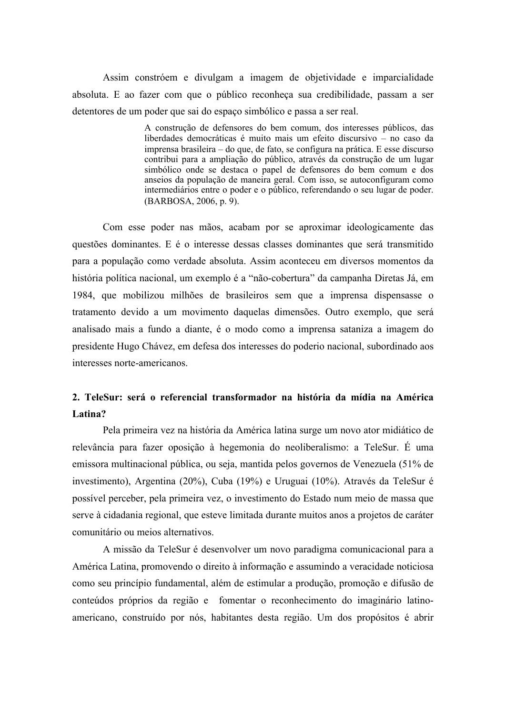Assim constróem e divulgam a imagem de objetividade e imparcialidade absoluta. E ao fazer com que o público reconheca sua credibilidade, passam a ser detentores de um poder que sai do espaço simbólico e passa a ser real.

> A construção de defensores do bem comum, dos interesses públicos, das liberdades democráticas é muito mais um efeito discursivo  $-\overline{p}$  no caso da imprensa brasileira – do que, de fato, se configura na prática. E esse discurso contribui para a ampliação do público, através da construção de um lugar simbólico onde se destaca o papel de defensores do bem comum e dos anseios da população de maneira geral. Com isso, se autoconfiguram como intermediários entre o poder e o público, referendando o seu lugar de poder. (BARBOSA, 2006, p. 9).

Com esse poder nas mãos, acabam por se aproximar ideologicamente das questões dominantes. E é o interesse dessas classes dominantes que será transmitido para a população como verdade absoluta. Assim aconteceu em diversos momentos da história política nacional, um exemplo é a "não-cobertura" da campanha Diretas Já, em 1984, que mobilizou milhões de brasileiros sem que a imprensa dispensasse o tratamento devido a um movimento daquelas dimensões. Outro exemplo, que será analisado mais a fundo a diante, é o modo como a imprensa sataniza a imagem do presidente Hugo Chávez, em defesa dos interesses do poderio nacional, subordinado aos interesses norte-americanos.

# 2. TeleSur: será o referencial transformador na história da mídia na América Latina?

Pela primeira vez na história da América latina surge um novo ator midiático de relevância para fazer oposição à hegemonia do neoliberalismo: a TeleSur. É uma emissora multinacional pública, ou seja, mantida pelos governos de Venezuela (51% de investimento), Argentina (20%), Cuba (19%) e Uruguai (10%). Através da TeleSur é possível perceber, pela primeira vez, o investimento do Estado num meio de massa que serve à cidadania regional, que esteve limitada durante muitos anos a projetos de caráter comunitário ou meios alternativos

A missão da TeleSur é desenvolver um novo paradigma comunicacional para a América Latina, promovendo o direito à informação e assumindo a veracidade noticiosa como seu princípio fundamental, além de estimular a produção, promoção e difusão de conteúdos próprios da região e fomentar o reconhecimento do imaginário latinoamericano, construído por nós, habitantes desta região. Um dos propósitos é abrir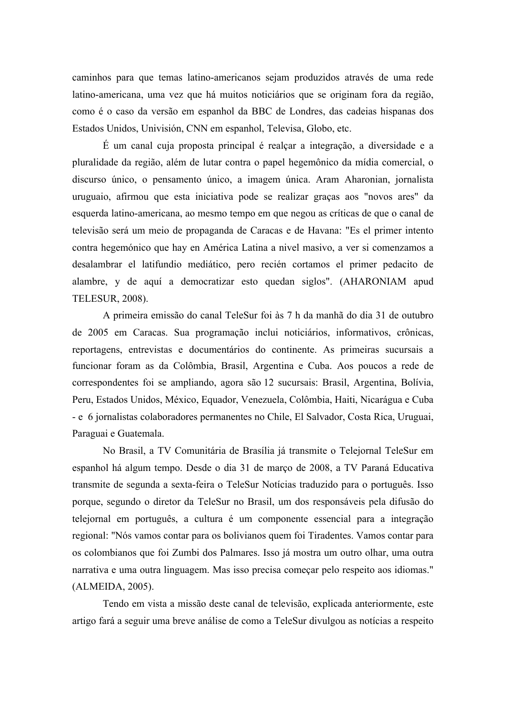caminhos para que temas latino-americanos sejam produzidos através de uma rede latino-americana, uma vez que há muitos noticiários que se originam fora da região, como é o caso da versão em espanhol da BBC de Londres, das cadeias hispanas dos Estados Unidos, Univisión, CNN em espanhol, Televisa, Globo, etc.

É um canal cuia proposta principal é realcar a integração, a diversidade e a pluralidade da região, além de lutar contra o papel hegemônico da mídia comercial, o discurso único, o pensamento único, a imagem única. Aram Aharonian, jornalista uruguaio, afirmou que esta iniciativa pode se realizar graças aos "novos ares" da esquerda latino-americana, ao mesmo tempo em que negou as críticas de que o canal de televisão será um meio de propaganda de Caracas e de Havana: "Es el primer intento contra hegemónico que hay en América Latina a nivel masivo, a ver si comenzamos a desalambrar el latifundio mediático, pero recién cortamos el primer pedacito de alambre, y de aquí a democratizar esto quedan siglos". (AHARONIAM apud **TELESUR, 2008).** 

A primeira emissão do canal TeleSur foi às 7 h da manhã do dia 31 de outubro de 2005 em Caracas. Sua programação inclui noticiários, informativos, crônicas, reportagens, entrevistas e documentários do continente. As primeiras sucursais a funcionar foram as da Colômbia, Brasil, Argentina e Cuba. Aos poucos a rede de correspondentes foi se ampliando, agora são 12 sucursais: Brasil, Argentina, Bolívia, Peru, Estados Unidos, México, Equador, Venezuela, Colômbia, Haiti, Nicarágua e Cuba - e 6 jornalistas colaboradores permanentes no Chile, El Salvador, Costa Rica, Uruguai, Paraguai e Guatemala.

No Brasil, a TV Comunitária de Brasília já transmite o Telejornal TeleSur em espanhol há algum tempo. Desde o dia 31 de março de 2008, a TV Paraná Educativa transmite de segunda a sexta-feira o TeleSur Notícias traduzido para o português. Isso porque, segundo o diretor da TeleSur no Brasil, um dos responsáveis pela difusão do telejornal em português, a cultura é um componente essencial para a integração regional: "Nós vamos contar para os bolivianos quem foi Tiradentes. Vamos contar para os colombianos que foi Zumbi dos Palmares. Isso já mostra um outro olhar, uma outra narrativa e uma outra linguagem. Mas isso precisa começar pelo respeito aos idiomas." (ALMEIDA, 2005).

Tendo em vista a missão deste canal de televisão, explicada anteriormente, este artigo fará a seguir uma breve análise de como a TeleSur divulgou as notícias a respeito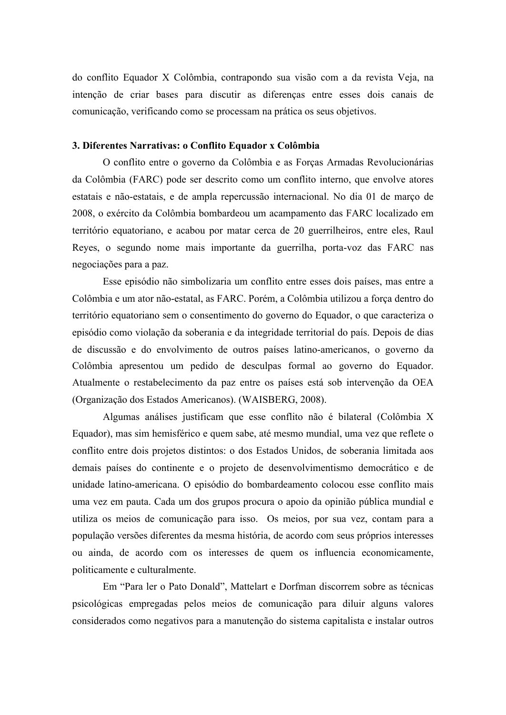do conflito Equador X Colômbia, contrapondo sua visão com a da revista Veja, na intenção de criar bases para discutir as diferenças entre esses dois canais de comunicação, verificando como se processam na prática os seus objetivos.

# 3. Diferentes Narrativas: o Conflito Equador x Colômbia

O conflito entre o governo da Colômbia e as Forças Armadas Revolucionárias da Colômbia (FARC) pode ser descrito como um conflito interno, que envolve atores estatais e não-estatais, e de ampla repercussão internacional. No dia 01 de março de 2008, o exército da Colômbia bombardeou um acampamento das FARC localizado em território equatoriano, e acabou por matar cerca de 20 guerrilheiros, entre eles, Raul Reyes, o segundo nome mais importante da guerrilha, porta-voz das FARC nas negociações para a paz.

Esse episódio não simbolizaria um conflito entre esses dois países, mas entre a Colômbia e um ator não-estatal, as FARC. Porém, a Colômbia utilizou a força dentro do território equatoriano sem o consentimento do governo do Equador, o que caracteriza o episódio como violação da soberania e da integridade territorial do país. Depois de dias de discussão e do envolvimento de outros países latino-americanos, o governo da Colômbia apresentou um pedido de desculpas formal ao governo do Equador. Atualmente o restabelecimento da paz entre os países está sob intervenção da OEA (Organização dos Estados Americanos). (WAISBERG, 2008).

Algumas análises justificam que esse conflito não é bilateral (Colômbia X Equador), mas sim hemisférico e quem sabe, até mesmo mundial, uma vez que reflete o conflito entre dois projetos distintos: o dos Estados Unidos, de soberania limitada aos demais países do continente e o projeto de desenvolvimentismo democrático e de unidade latino-americana. O episódio do bombardeamento colocou esse conflito mais uma vez em pauta. Cada um dos grupos procura o apoio da opinião pública mundial e utiliza os meios de comunicação para isso. Os meios, por sua vez, contam para a população versões diferentes da mesma história, de acordo com seus próprios interesses ou ainda, de acordo com os interesses de quem os influencia economicamente, politicamente e culturalmente.

Em "Para ler o Pato Donald", Mattelart e Dorfman discorrem sobre as técnicas psicológicas empregadas pelos meios de comunicação para diluir alguns valores considerados como negativos para a manutenção do sistema capitalista e instalar outros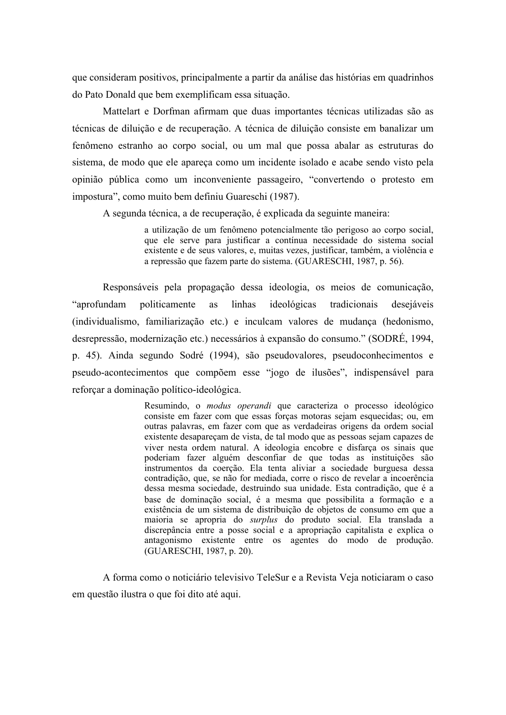que consideram positivos, principalmente a partir da análise das histórias em quadrinhos do Pato Donald que bem exemplificam essa situação.

Mattelart e Dorfman afirmam que duas importantes técnicas utilizadas são as técnicas de diluição e de recuperação. A técnica de diluição consiste em banalizar um fenômeno estranho ao corpo social, ou um mal que possa abalar as estruturas do sistema, de modo que ele apareca como um incidente isolado e acabe sendo visto pela opinião pública como um inconveniente passageiro, "convertendo o protesto em impostura", como muito bem definiu Guareschi (1987).

A segunda técnica, a de recuperação, é explicada da seguinte maneira:

a utilização de um fenômeno potencialmente tão perigoso ao corpo social, que ele serve para justificar a contínua necessidade do sistema social existente e de seus valores, e, muitas vezes, justificar, também, a violência e a repressão que fazem parte do sistema. (GUARESCHI, 1987, p. 56).

Responsáveis pela propagação dessa ideologia, os meios de comunicação, "aprofundam linhas ideológicas politicamente as tradicionais desejáveis (individualismo, familiarização etc.) e inculcam valores de mudança (hedonismo, desrepressão, modernização etc.) necessários à expansão do consumo." (SODRÉ, 1994, p. 45). Ainda segundo Sodré (1994), são pseudovalores, pseudoconhecimentos e pseudo-acontecimentos que compõem esse "jogo de ilusões", indispensável para reforçar a dominação político-ideológica.

> Resumindo, o *modus operandi* que caracteriza o processo ideológico consiste em fazer com que essas forças motoras sejam esquecidas; ou, em outras palavras, em fazer com que as verdadeiras origens da ordem social existente desapareçam de vista, de tal modo que as pessoas sejam capazes de viver nesta ordem natural. A ideologia encobre e disfarça os sinais que poderiam fazer alguém desconfiar de que todas as instituições são instrumentos da coerção. Ela tenta aliviar a sociedade burguesa dessa contradição, que, se não for mediada, corre o risco de revelar a incoerência dessa mesma sociedade, destruindo sua unidade. Esta contradição, que é a base de dominação social, é a mesma que possibilita a formação e a existência de um sistema de distribuição de objetos de consumo em que a maioria se apropria do surplus do produto social. Ela translada a discrepância entre a posse social e a apropriação capitalista e explica o antagonismo existente entre os agentes do modo de produção. (GUARESCHI, 1987, p. 20).

A forma como o noticiário televisivo TeleSur e a Revista Veja noticiaram o caso em questão ilustra o que foi dito até aqui.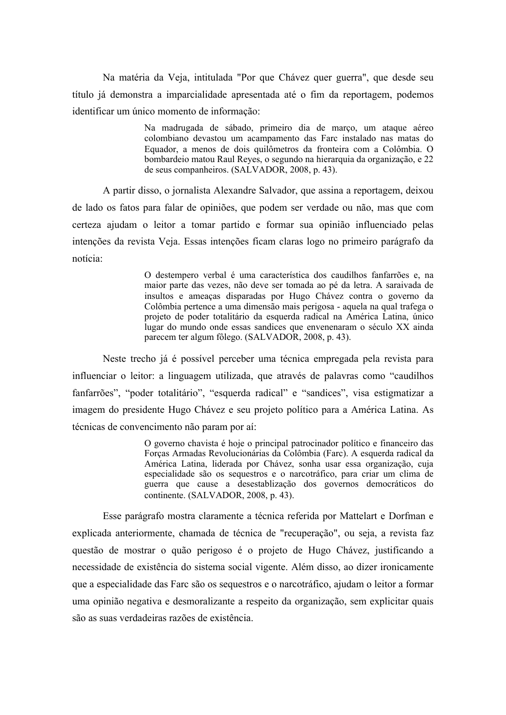Na matéria da Veja, intitulada "Por que Chávez quer guerra", que desde seu título já demonstra a imparcialidade apresentada até o fim da reportagem, podemos identificar um único momento de informação:

> Na madrugada de sábado, primeiro dia de marco, um ataque aéreo colombiano devastou um acampamento das Farc instalado nas matas do Equador, a menos de dois quilômetros da fronteira com a Colômbia. O bombardeio matou Raul Reyes, o segundo na hierarquia da organização, e 22 de seus companheiros. (SALVADOR, 2008, p. 43).

A partir disso, o jornalista Alexandre Salvador, que assina a reportagem, deixou de lado os fatos para falar de opiniões, que podem ser verdade ou não, mas que com certeza ajudam o leitor a tomar partido e formar sua opinião influenciado pelas intenções da revista Veja. Essas intenções ficam claras logo no primeiro parágrafo da notícia:

> O destempero verbal é uma característica dos caudilhos fanfarrões e, na maior parte das vezes, não deve ser tomada ao pé da letra. A saraivada de insultos e ameaças disparadas por Hugo Chávez contra o governo da Colômbia pertence a uma dimensão mais perigosa - aquela na qual trafega o projeto de poder totalitário da esquerda radical na América Latina, único lugar do mundo onde essas sandices que envenenaram o século XX ainda parecem ter algum fôlego. (SALVADOR, 2008, p. 43).

Neste trecho já é possível perceber uma técnica empregada pela revista para influenciar o leitor: a linguagem utilizada, que através de palavras como "caudilhos fanfarrões", "poder totalitário", "esquerda radical" e "sandices", visa estigmatizar a imagem do presidente Hugo Chávez e seu projeto político para a América Latina. As técnicas de convencimento não param por aí:

> O governo chavista é hoje o principal patrocinador político e financeiro das Forças Armadas Revolucionárias da Colômbia (Farc). A esquerda radical da América Latina, liderada por Chávez, sonha usar essa organização, cuja especialidade são os sequestros e o narcotráfico, para criar um clima de guerra que cause a desestablização dos governos democráticos do continente. (SALVADOR, 2008, p. 43).

Esse parágrafo mostra claramente a técnica referida por Mattelart e Dorfman e explicada anteriormente, chamada de técnica de "recuperação", ou seja, a revista faz questão de mostrar o quão perigoso é o projeto de Hugo Chávez, justificando a necessidade de existência do sistema social vigente. Além disso, ao dizer ironicamente que a especialidade das Farc são os sequestros e o narcotráfico, ajudam o leitor a formar uma opinião negativa e desmoralizante a respeito da organização, sem explicitar quais são as suas verdadeiras razões de existência.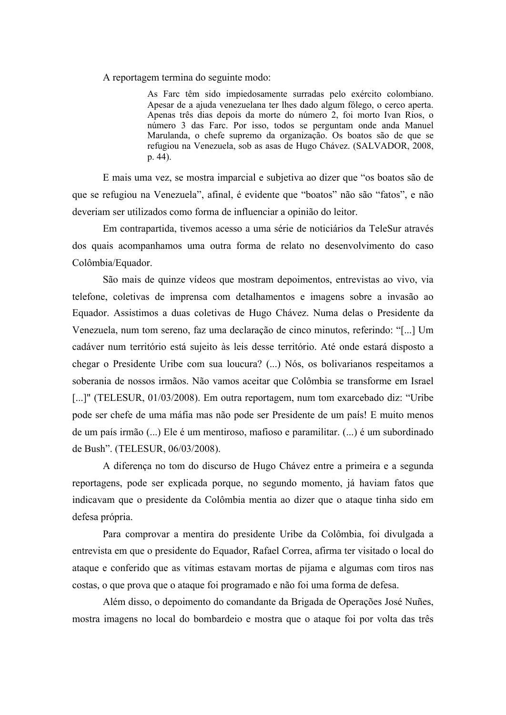A reportagem termina do seguinte modo:

As Farc têm sido impiedosamente surradas pelo exército colombiano. Apesar de a ajuda venezuelana ter lhes dado algum fôlego, o cerco aperta. Apenas três dias depois da morte do número 2, foi morto Ivan Rios, o número 3 das Farc. Por isso, todos se perguntam onde anda Manuel Marulanda, o chefe supremo da organização. Os boatos são de que se refugiou na Venezuela, sob as asas de Hugo Chávez. (SALVADOR, 2008, p. 44).

E mais uma vez, se mostra imparcial e subjetiva ao dizer que "os boatos são de que se refugiou na Venezuela", afinal, é evidente que "boatos" não são "fatos", e não deveriam ser utilizados como forma de influenciar a opinião do leitor.

Em contrapartida, tivemos acesso a uma série de noticiários da TeleSur através dos quais acompanhamos uma outra forma de relato no desenvolvimento do caso Colômbia/Equador.

São mais de quinze vídeos que mostram depoimentos, entrevistas ao vivo, via telefone, coletivas de imprensa com detalhamentos e imagens sobre a invasão ao Equador. Assistimos a duas coletivas de Hugo Chávez. Numa delas o Presidente da Venezuela, num tom sereno, faz uma declaração de cinco minutos, referindo: "[...] Um cadáver num território está sujeito às leis desse território. Até onde estará disposto a chegar o Presidente Uribe com sua loucura? (...) Nós, os bolivarianos respeitamos a soberania de nossos irmãos. Não vamos aceitar que Colômbia se transforme em Israel [...]" (TELESUR, 01/03/2008). Em outra reportagem, num tom exarcebado diz: "Uribe" pode ser chefe de uma máfia mas não pode ser Presidente de um país! E muito menos de um país irmão (...) Ele é um mentiroso, mafioso e paramilitar. (...) é um subordinado de Bush". (TELESUR, 06/03/2008).

A diferença no tom do discurso de Hugo Chávez entre a primeira e a segunda reportagens, pode ser explicada porque, no segundo momento, já haviam fatos que indicavam que o presidente da Colômbia mentia ao dizer que o ataque tinha sido em defesa própria.

Para comprovar a mentira do presidente Uribe da Colômbia, foi divulgada a entrevista em que o presidente do Equador, Rafael Correa, afirma ter visitado o local do ataque e conferido que as vítimas estavam mortas de pijama e algumas com tiros nas costas, o que prova que o ataque foi programado e não foi uma forma de defesa.

Além disso, o depoimento do comandante da Brigada de Operações José Nuñes, mostra imagens no local do bombardeio e mostra que o ataque foi por volta das três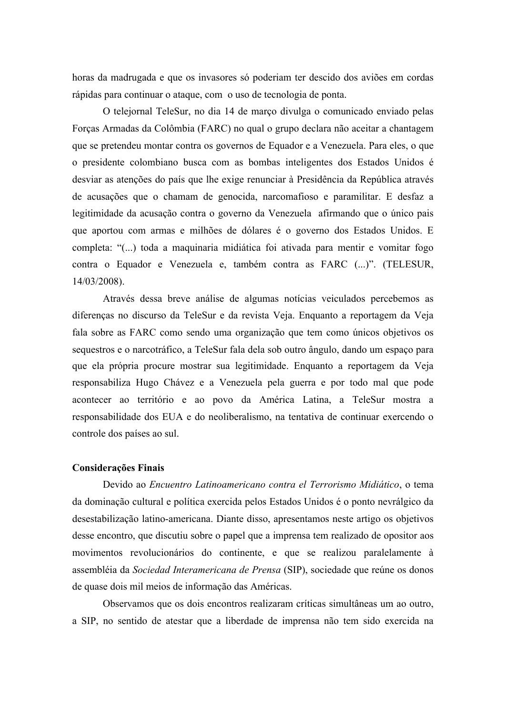horas da madrugada e que os invasores só poderiam ter descido dos aviões em cordas rápidas para continuar o ataque, com o uso de tecnologia de ponta.

O telejornal TeleSur, no dia 14 de março divulga o comunicado enviado pelas Forças Armadas da Colômbia (FARC) no qual o grupo declara não aceitar a chantagem que se pretendeu montar contra os governos de Equador e a Venezuela. Para eles, o que o presidente colombiano busca com as bombas inteligentes dos Estados Unidos é desviar as atenções do país que lhe exige renunciar à Presidência da República através de acusações que o chamam de genocida, narcomafioso e paramilitar. E desfaz a legitimidade da acusação contra o governo da Venezuela afirmando que o único pais que aportou com armas e milhões de dólares é o governo dos Estados Unidos. E completa: "(...) toda a maquinaria midiática foi ativada para mentir e vomitar fogo contra o Equador e Venezuela e, também contra as FARC (...)". (TELESUR,  $14/03/2008$ ).

Através dessa breve análise de algumas notícias veiculados percebemos as diferenças no discurso da TeleSur e da revista Veja. Enquanto a reportagem da Veja fala sobre as FARC como sendo uma organização que tem como únicos objetivos os sequestros e o narcotráfico, a TeleSur fala dela sob outro ângulo, dando um espaço para que ela própria procure mostrar sua legitimidade. Enquanto a reportagem da Veja responsabiliza Hugo Chávez e a Venezuela pela guerra e por todo mal que pode acontecer ao território e ao povo da América Latina, a TeleSur mostra a responsabilidade dos EUA e do neoliberalismo, na tentativa de continuar exercendo o controle dos países ao sul.

#### **Considerações Finais**

Devido ao Encuentro Latinoamericano contra el Terrorismo Midiático, o tema da dominação cultural e política exercida pelos Estados Unidos é o ponto nevrálgico da desestabilização latino-americana. Diante disso, apresentamos neste artigo os objetivos desse encontro, que discutiu sobre o papel que a imprensa tem realizado de opositor aos movimentos revolucionários do continente, e que se realizou paralelamente à assembléia da Sociedad Interamericana de Prensa (SIP), sociedade que reúne os donos de quase dois mil meios de informação das Américas.

Observamos que os dois encontros realizaram críticas simultâneas um ao outro, a SIP, no sentido de atestar que a liberdade de imprensa não tem sido exercida na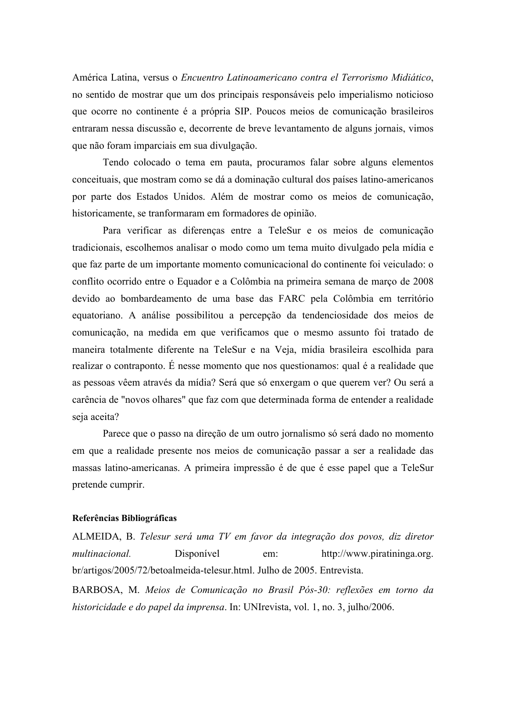América Latina, versus o Encuentro Latinoamericano contra el Terrorismo Midiático, no sentido de mostrar que um dos principais responsáveis pelo imperialismo noticioso que ocorre no continente é a própria SIP. Poucos meios de comunicação brasileiros entraram nessa discussão e, decorrente de breve levantamento de alguns jornais, vimos que não foram imparciais em sua divulgação.

Tendo colocado o tema em pauta, procuramos falar sobre alguns elementos conceituais, que mostram como se dá a dominação cultural dos países latino-americanos por parte dos Estados Unidos. Além de mostrar como os meios de comunicação, historicamente, se tranformaram em formadores de opinião.

Para verificar as diferenças entre a TeleSur e os meios de comunicação tradicionais, escolhemos analisar o modo como um tema muito divulgado pela mídia e que faz parte de um importante momento comunicacional do continente foi veiculado: o conflito ocorrido entre o Equador e a Colômbia na primeira semana de março de 2008 devido ao bombardeamento de uma base das FARC pela Colômbia em território equatoriano. A análise possibilitou a percepção da tendenciosidade dos meios de comunicação, na medida em que verificamos que o mesmo assunto foi tratado de maneira totalmente diferente na TeleSur e na Veja, mídia brasileira escolhida para realizar o contraponto. É nesse momento que nos questionamos: qual é a realidade que as pessoas vêem através da mídia? Será que só enxergam o que querem ver? Ou será a carência de "novos olhares" que faz com que determinada forma de entender a realidade seja aceita?

Parece que o passo na direção de um outro jornalismo só será dado no momento em que a realidade presente nos meios de comunicação passar a ser a realidade das massas latino-americanas. A primeira impressão é de que é esse papel que a TeleSur pretende cumprir.

# Referências Bibliográficas

ALMEIDA, B. Telesur será uma TV em favor da integração dos povos, diz diretor *multinacional* Disponível http://www.piratininga.org. em: br/artigos/2005/72/betoalmeida-telesur.html. Julho de 2005. Entrevista.

BARBOSA, M. Meios de Comunicação no Brasil Pós-30: reflexões em torno da historicidade e do papel da imprensa. In: UNIrevista, vol. 1, no. 3, julho/2006.